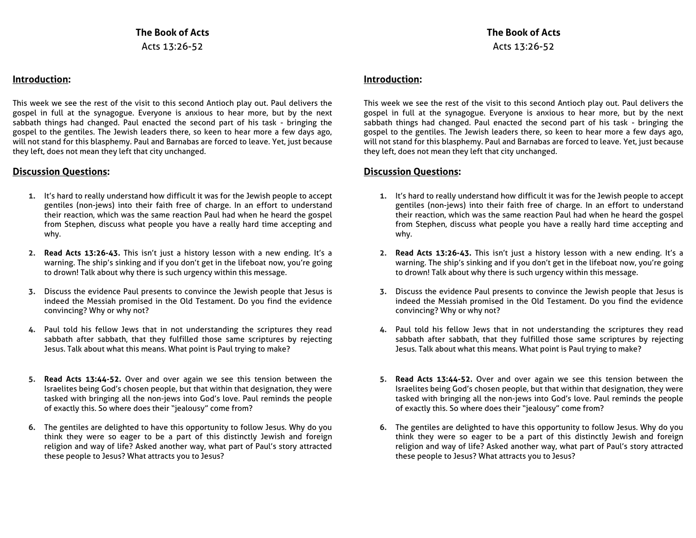#### **Introduction:**

This week we see the rest of the visit to this second Antioch play out. Paul delivers the gospel in full at the synagogue. Everyone is anxious to hear more, but by the next sabbath things had changed. Paul enacted the second part of his task - bringing the gospel to the gentiles. The Jewish leaders there, so keen to hear more a few days ago, will not stand for this blasphemy. Paul and Barnabas are forced to leave. Yet, just because they left, does not mean they left that city unchanged.

#### **Discussion Questions:**

- **1.** It's hard to really understand how difficult it was for the Jewish people to accept gentiles (non-jews) into their faith free of charge. In an effort to understand their reaction, which was the same reaction Paul had when he heard the gospel from Stephen, discuss what people you have a really hard time accepting and why.
- **2. Read Acts 13:26-43.** This isn't just a history lesson with a new ending. It's a warning. The ship's sinking and if you don't get in the lifeboat now, you're going to drown! Talk about why there is such urgency within this message.
- **3.** Discuss the evidence Paul presents to convince the Jewish people that Jesus is indeed the Messiah promised in the Old Testament. Do you find the evidence convincing? Why or why not?
- **4.** Paul told his fellow Jews that in not understanding the scriptures they read sabbath after sabbath, that they fulfilled those same scriptures by rejecting Jesus. Talk about what this means. What point is Paul trying to make?
- **5. Read Acts 13:44-52.** Over and over again we see this tension between the Israelites being God's chosen people, but that within that designation, they were tasked with bringing all the non-jews into God's love. Paul reminds the people of exactly this. So where does their "jealousy" come from?
- **6.** The gentiles are delighted to have this opportunity to follow Jesus. Why do you think they were so eager to be a part of this distinctly Jewish and foreign religion and way of life? Asked another way, what part of Paul's story attracted these people to Jesus? What attracts you to Jesus?

### **Introduction:**

This week we see the rest of the visit to this second Antioch play out. Paul delivers the gospel in full at the synagogue. Everyone is anxious to hear more, but by the next sabbath things had changed. Paul enacted the second part of his task - bringing the gospel to the gentiles. The Jewish leaders there, so keen to hear more a few days ago, will not stand for this blasphemy. Paul and Barnabas are forced to leave. Yet, just because they left, does not mean they left that city unchanged.

### **Discussion Questions:**

- **1.** It's hard to really understand how difficult it was for the Jewish people to accept gentiles (non-jews) into their faith free of charge. In an effort to understand their reaction, which was the same reaction Paul had when he heard the gospel from Stephen, discuss what people you have a really hard time accepting and why.
- **2. Read Acts 13:26-43.** This isn't just a history lesson with a new ending. It's a warning. The ship's sinking and if you don't get in the lifeboat now, you're going to drown! Talk about why there is such urgency within this message.
- **3.** Discuss the evidence Paul presents to convince the Jewish people that Jesus is indeed the Messiah promised in the Old Testament. Do you find the evidence convincing? Why or why not?
- **4.** Paul told his fellow Jews that in not understanding the scriptures they read sabbath after sabbath, that they fulfilled those same scriptures by rejecting Jesus. Talk about what this means. What point is Paul trying to make?
- **5. Read Acts 13:44-52.** Over and over again we see this tension between the Israelites being God's chosen people, but that within that designation, they were tasked with bringing all the non-jews into God's love. Paul reminds the people of exactly this. So where does their "jealousy" come from?
- **6.** The gentiles are delighted to have this opportunity to follow Jesus. Why do you think they were so eager to be a part of this distinctly Jewish and foreign religion and way of life? Asked another way, what part of Paul's story attracted these people to Jesus? What attracts you to Jesus?